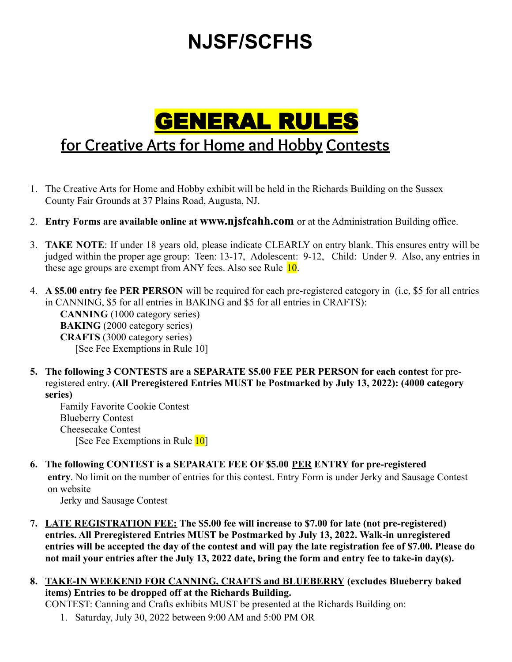# **NJSF/SCFHS**

## GENERAL RULES **for Creative Arts for Home and Hobby Contests**

- 1. The Creative Arts for Home and Hobby exhibit will be held in the Richards Building on the Sussex County Fair Grounds at 37 Plains Road, Augusta, NJ.
- 2. **Entry Forms are available online at [www.njsfcahh.com](http://www.njsfcahh.com/)** or at the Administration Building office.
- 3. **TAKE NOTE**: If under 18 years old, please indicate CLEARLY on entry blank. This ensures entry will be judged within the proper age group: Teen: 13-17, Adolescent: 9-12, Child: Under 9. Also, any entries in these age groups are exempt from ANY fees. Also see Rule 10.
- 4. **A \$5.00 entry fee PER PERSON** will be required for each pre-registered category in (i.e, \$5 for all entries in CANNING, \$5 for all entries in BAKING and \$5 for all entries in CRAFTS): **CANNING** (1000 category series) **BAKING** (2000 category series) **CRAFTS** (3000 category series) [See Fee Exemptions in Rule 10]
- **5. The following 3 CONTESTS are a SEPARATE \$5.00 FEE PER PERSON for each contest** for preregistered entry. **(All Preregistered Entries MUST be Postmarked by July 13, 2022): (4000 category series)**

Family Favorite Cookie Contest Blueberry Contest Cheesecake Contest [See Fee Exemptions in Rule 10]

**6. The following CONTEST is a SEPARATE FEE OF \$5.00 PER ENTRY for pre-registered entry**. No limit on the number of entries for this contest. Entry Form is under Jerky and Sausage Contest on website

Jerky and Sausage Contest

- **7. LATE REGISTRATION FEE: The \$5.00 fee will increase to \$7.00 for late (not pre-registered) entries. All Preregistered Entries MUST be Postmarked by July 13, 2022. Walk-in unregistered entries will be accepted the day of the contest and will pay the late registration fee of \$7.00. Please do not mail your entries after the July 13, 2022 date, bring the form and entry fee to take-in day(s).**
- **8. TAKE-IN WEEKEND FOR CANNING, CRAFTS and BLUEBERRY (excludes Blueberry baked items) Entries to be dropped off at the Richards Building.**

CONTEST: Canning and Crafts exhibits MUST be presented at the Richards Building on:

1. Saturday, July 30, 2022 between 9:00 AM and 5:00 PM OR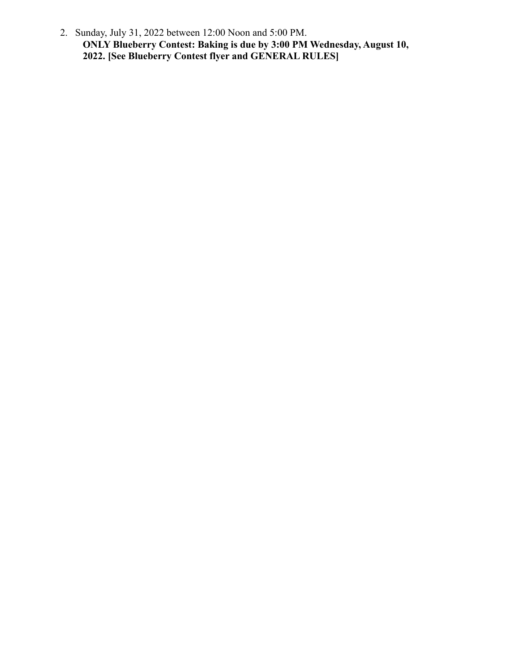2. Sunday, July 31, 2022 between 12:00 Noon and 5:00 PM. **ONLY Blueberry Contest: Baking is due by 3:00 PM Wednesday, August 10, 2022. [See Blueberry Contest flyer and GENERAL RULES]**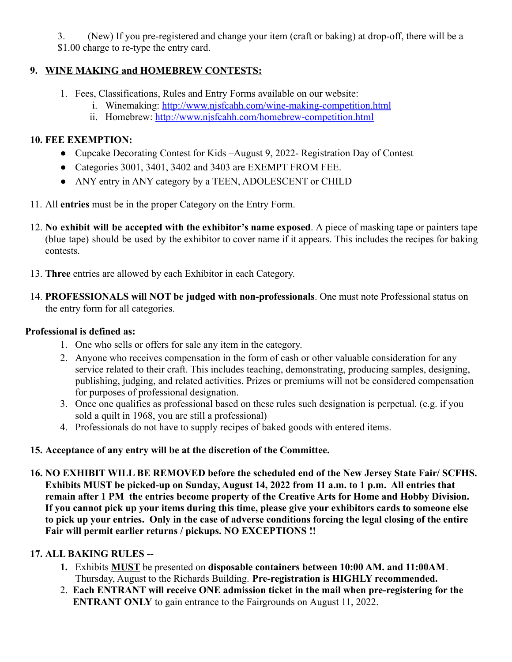3. (New) If you pre-registered and change your item (craft or baking) at drop-off, there will be a \$1.00 charge to re-type the entry card.

#### **9. WINE MAKING and HOMEBREW CONTESTS:**

- 1. Fees, Classifications, Rules and Entry Forms available on our website:
	- i. Winemaking: <http://www.njsfcahh.com/wine-making-competition.html>
	- ii. Homebrew: <http://www.njsfcahh.com/homebrew-competition.html>

#### **10. FEE EXEMPTION:**

- Cupcake Decorating Contest for Kids –August 9, 2022- Registration Day of Contest
- Categories 3001, 3401, 3402 and 3403 are EXEMPT FROM FEE.
- ANY entry in ANY category by a TEEN, ADOLESCENT or CHILD
- 11. All **entries** must be in the proper Category on the Entry Form.
- 12. **No exhibit will be accepted with the exhibitor's name exposed**. A piece of masking tape or painters tape (blue tape) should be used by the exhibitor to cover name if it appears. This includes the recipes for baking contests.
- 13. **Three** entries are allowed by each Exhibitor in each Category.
- 14. **PROFESSIONALS will NOT be judged with non-professionals**. One must note Professional status on the entry form for all categories.

#### **Professional is defined as:**

- 1. One who sells or offers for sale any item in the category.
- 2. Anyone who receives compensation in the form of cash or other valuable consideration for any service related to their craft. This includes teaching, demonstrating, producing samples, designing, publishing, judging, and related activities. Prizes or premiums will not be considered compensation for purposes of professional designation.
- 3. Once one qualifies as professional based on these rules such designation is perpetual. (e.g. if you sold a quilt in 1968, you are still a professional)
- 4. Professionals do not have to supply recipes of baked goods with entered items.

## **15. Acceptance of any entry will be at the discretion of the Committee.**

**16. NO EXHIBIT WILL BE REMOVED before the scheduled end of the New Jersey State Fair/ SCFHS. Exhibits MUST be picked-up on Sunday, August 14, 2022 from 11 a.m. to 1 p.m. All entries that remain after 1 PM the entries become property of the Creative Arts for Home and Hobby Division. If you cannot pick up your items during this time, please give your exhibitors cards to someone else to pick up your entries. Only in the case of adverse conditions forcing the legal closing of the entire Fair will permit earlier returns / pickups. NO EXCEPTIONS !!**

## **17. ALL BAKING RULES --**

- **1.** Exhibits **MUST** be presented on **disposable containers between 10:00 AM. and 11:00AM**. Thursday, August to the Richards Building. **Pre-registration is HIGHLY recommended.**
- 2. **Each ENTRANT will receive ONE admission ticket in the mail when pre-registering for the ENTRANT ONLY** to gain entrance to the Fairgrounds on August 11, 2022.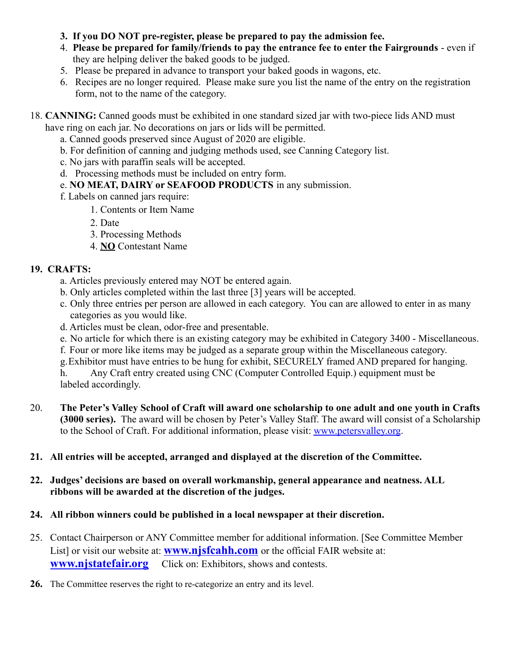- **3. If you DO NOT pre-register, please be prepared to pay the admission fee.**
- 4. **Please be prepared for family/friends to pay the entrance fee to enter the Fairgrounds** even if they are helping deliver the baked goods to be judged.
- 5. Please be prepared in advance to transport your baked goods in wagons, etc.
- 6. Recipes are no longer required. Please make sure you list the name of the entry on the registration form, not to the name of the category.
- 18. **CANNING:** Canned goods must be exhibited in one standard sized jar with two-piece lids AND must have ring on each jar. No decorations on jars or lids will be permitted.
	- a. Canned goods preserved since August of 2020 are eligible.
	- b. For definition of canning and judging methods used, see Canning Category list.
	- c. No jars with paraffin seals will be accepted.
	- d. Processing methods must be included on entry form.
	- e. **NO MEAT, DAIRY or SEAFOOD PRODUCTS** in any submission.
	- f. Labels on canned jars require:
		- 1. Contents or Item Name
		- 2. Date
		- 3. Processing Methods
		- 4. **NO** Contestant Name

#### **19. CRAFTS:**

- a. Articles previously entered may NOT be entered again.
- b. Only articles completed within the last three [3] years will be accepted.
- c. Only three entries per person are allowed in each category. You can are allowed to enter in as many categories as you would like.
- d. Articles must be clean, odor-free and presentable.
- e. No article for which there is an existing category may be exhibited in Category 3400 Miscellaneous.
- f. Four or more like items may be judged as a separate group within the Miscellaneous category.
- g.Exhibitor must have entries to be hung for exhibit, SECURELY framed AND prepared for hanging.

h. Any Craft entry created using CNC (Computer Controlled Equip.) equipment must be labeled accordingly.

20. **The Peter's Valley School of Craft will award one scholarship to one adult and one youth in Crafts (3000 series).** The award will be chosen by Peter's Valley Staff. The award will consist of a Scholarship to the School of Craft. For additional information, please visit: [www.petersvalley.org.](http://www.petersvalley.org/)

#### **21. All entries will be accepted, arranged and displayed at the discretion of the Committee.**

#### **22. Judges' decisions are based on overall workmanship, general appearance and neatness. ALL ribbons will be awarded at the discretion of the judges.**

#### **24. All ribbon winners could be published in a local newspaper at their discretion.**

- 25. Contact Chairperson or ANY Committee member for additional information. [See Committee Member List] or visit our website at[:](http://www.njstatefair.org/) **[www.njsfcahh.com](http://www.njsfcahh.com/)** or the official FAIR website at: **[www.njstatefair.org](http://www.njstatefair.org/)** Click on: Exhibitors, shows and contests.
- **26.** The Committee reserves the right to re-categorize an entry and its level.